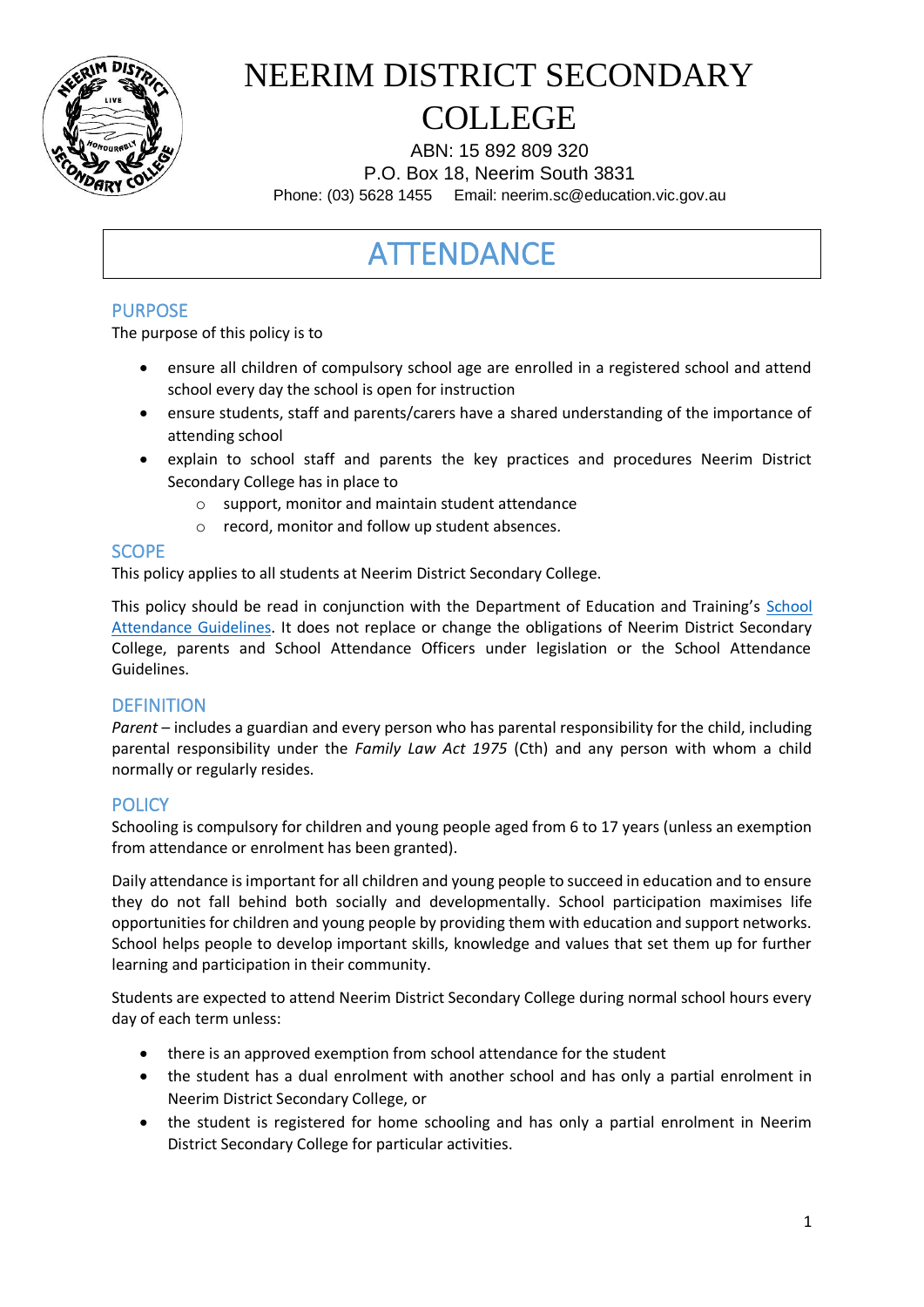

ABN: 15 892 809 320 P.O. Box 18, Neerim South 3831 Phone: (03) 5628 1455 Email: neerim.sc@education.vic.gov.au

### ATTENDANCE

#### PURPOSE

The purpose of this policy is to

- ensure all children of compulsory school age are enrolled in a registered school and attend school every day the school is open for instruction
- ensure students, staff and parents/carers have a shared understanding of the importance of attending school
- explain to school staff and parents the key practices and procedures Neerim District Secondary College has in place to
	- o support, monitor and maintain student attendance
	- o record, monitor and follow up student absences.

#### **SCOPE**

This policy applies to all students at Neerim District Secondary College.

This policy should be read in conjunction with the Department of Education and Training's School [Attendance Guidelines.](https://www2.education.vic.gov.au/pal/attendance/guidance) It does not replace or change the obligations of Neerim District Secondary College, parents and School Attendance Officers under legislation or the School Attendance Guidelines.

#### **DEFINITION**

*Parent* – includes a guardian and every person who has parental responsibility for the child, including parental responsibility under the *Family Law Act 1975* (Cth) and any person with whom a child normally or regularly resides.

#### **POLICY**

Schooling is compulsory for children and young people aged from 6 to 17 years (unless an exemption from attendance or enrolment has been granted).

Daily attendance is important for all children and young people to succeed in education and to ensure they do not fall behind both socially and developmentally. School participation maximises life opportunities for children and young people by providing them with education and support networks. School helps people to develop important skills, knowledge and values that set them up for further learning and participation in their community.

Students are expected to attend Neerim District Secondary College during normal school hours every day of each term unless:

- there is an approved exemption from school attendance for the student
- the student has a dual enrolment with another school and has only a partial enrolment in Neerim District Secondary College, or
- the student is registered for home schooling and has only a partial enrolment in Neerim District Secondary College for particular activities.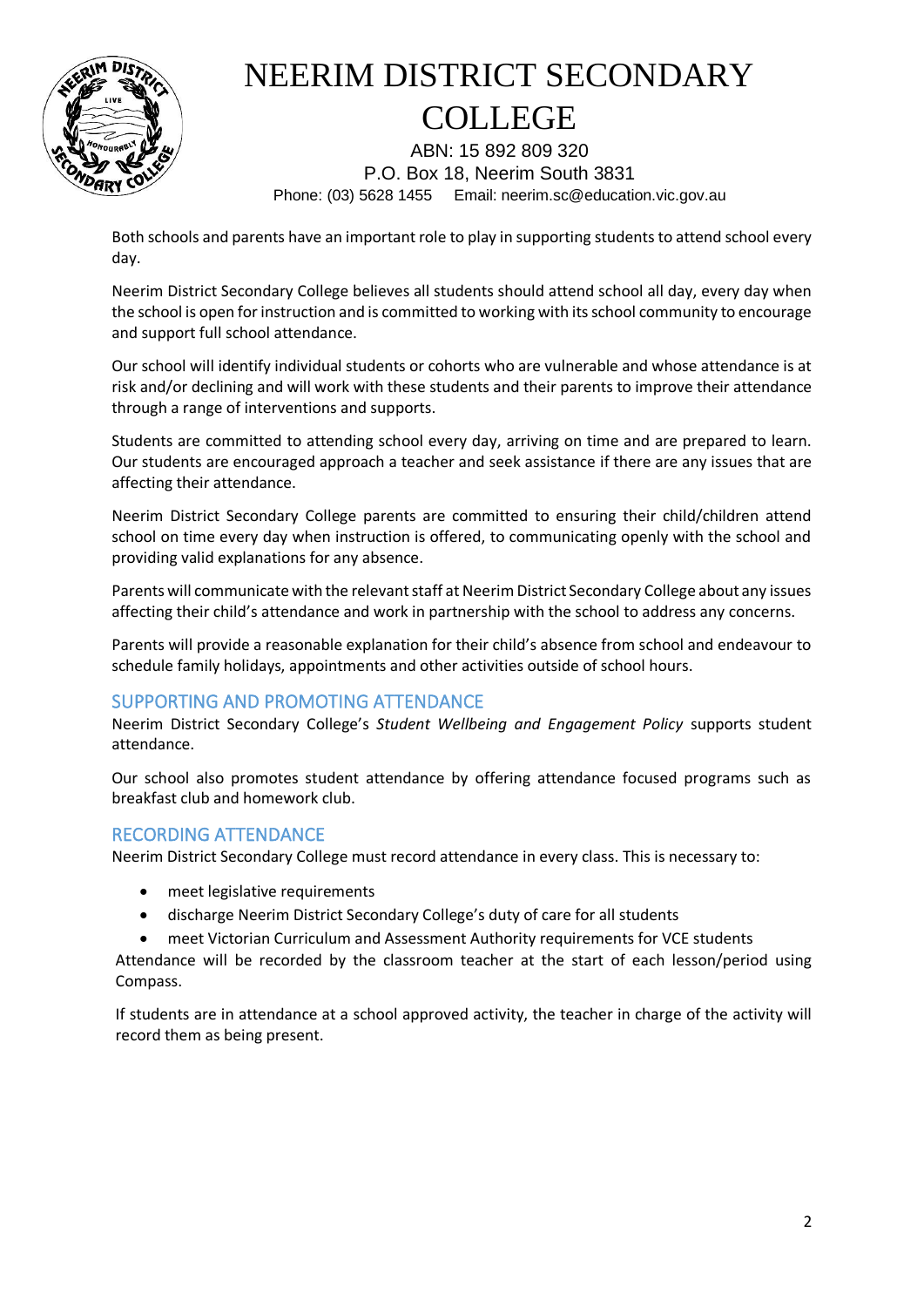

ABN: 15 892 809 320 P.O. Box 18, Neerim South 3831 Phone: (03) 5628 1455 Email: neerim.sc@education.vic.gov.au

Both schools and parents have an important role to play in supporting students to attend school every day.

Neerim District Secondary College believes all students should attend school all day, every day when the school is open for instruction and is committed to working with its school community to encourage and support full school attendance.

Our school will identify individual students or cohorts who are vulnerable and whose attendance is at risk and/or declining and will work with these students and their parents to improve their attendance through a range of interventions and supports.

Students are committed to attending school every day, arriving on time and are prepared to learn. Our students are encouraged approach a teacher and seek assistance if there are any issues that are affecting their attendance.

Neerim District Secondary College parents are committed to ensuring their child/children attend school on time every day when instruction is offered, to communicating openly with the school and providing valid explanations for any absence.

Parents will communicate with the relevant staff at Neerim District Secondary College about any issues affecting their child's attendance and work in partnership with the school to address any concerns.

Parents will provide a reasonable explanation for their child's absence from school and endeavour to schedule family holidays, appointments and other activities outside of school hours.

#### SUPPORTING AND PROMOTING ATTENDANCE

Neerim District Secondary College's *Student Wellbeing and Engagement Policy* supports student attendance.

Our school also promotes student attendance by offering attendance focused programs such as breakfast club and homework club.

#### RECORDING ATTENDANCE

Neerim District Secondary College must record attendance in every class. This is necessary to:

- meet legislative requirements
- discharge Neerim District Secondary College's duty of care for all students
- meet Victorian Curriculum and Assessment Authority requirements for VCE students

Attendance will be recorded by the classroom teacher at the start of each lesson/period using Compass.

If students are in attendance at a school approved activity, the teacher in charge of the activity will record them as being present.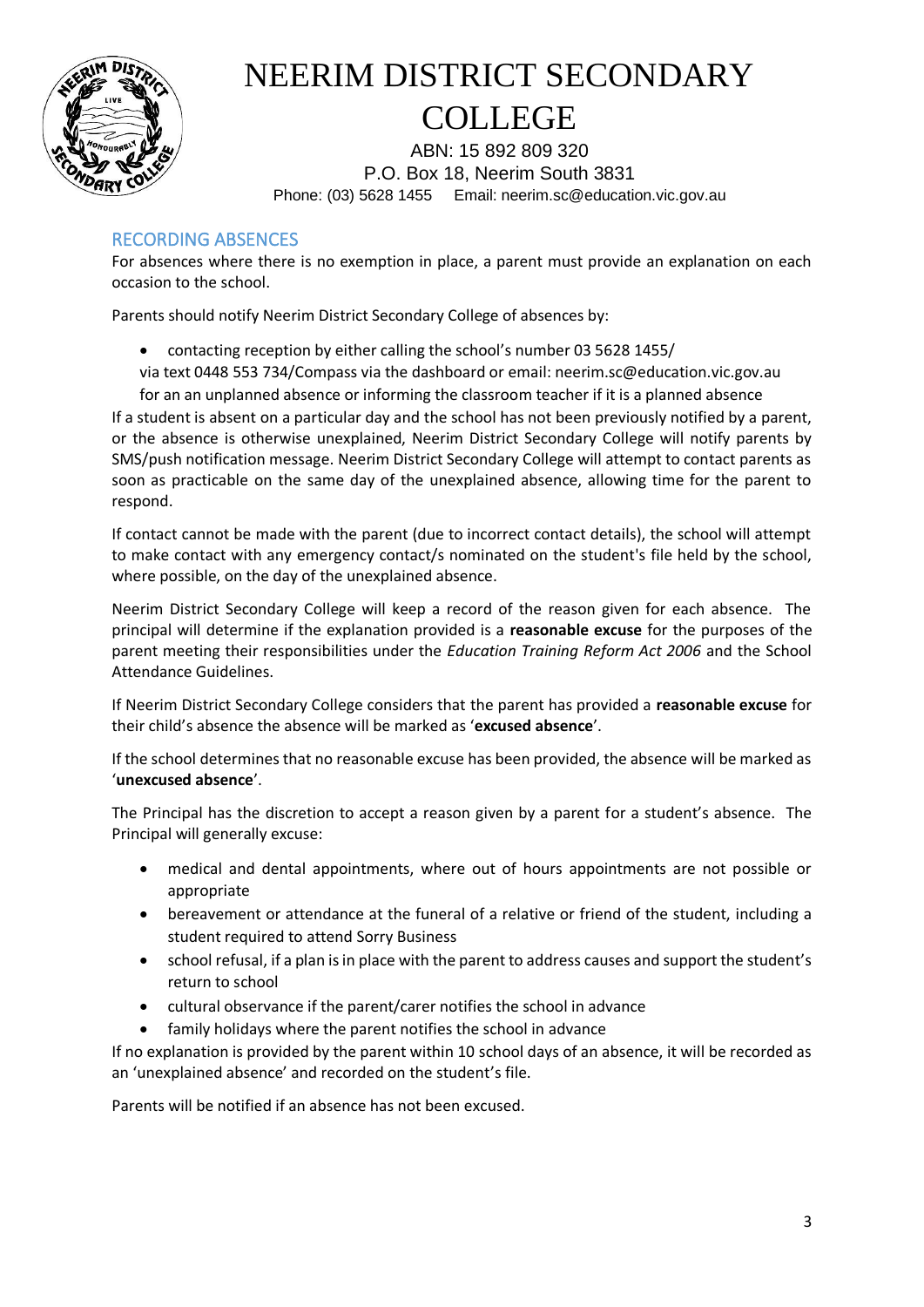

ABN: 15 892 809 320 P.O. Box 18, Neerim South 3831 Phone: (03) 5628 1455 Email: neerim.sc@education.vic.gov.au

#### RECORDING ABSENCES

For absences where there is no exemption in place, a parent must provide an explanation on each occasion to the school.

Parents should notify Neerim District Secondary College of absences by:

- contacting reception by either calling the school's number 03 5628 1455/
- via text 0448 553 734/Compass via the dashboard or email: neerim.sc@education.vic.gov.au for an an unplanned absence or informing the classroom teacher if it is a planned absence

If a student is absent on a particular day and the school has not been previously notified by a parent, or the absence is otherwise unexplained, Neerim District Secondary College will notify parents by SMS/push notification message. Neerim District Secondary College will attempt to contact parents as soon as practicable on the same day of the unexplained absence, allowing time for the parent to respond.

If contact cannot be made with the parent (due to incorrect contact details), the school will attempt to make contact with any emergency contact/s nominated on the student's file held by the school, where possible, on the day of the unexplained absence.

Neerim District Secondary College will keep a record of the reason given for each absence. The principal will determine if the explanation provided is a **reasonable excuse** for the purposes of the parent meeting their responsibilities under the *Education Training Reform Act 2006* and the School Attendance Guidelines.

If Neerim District Secondary College considers that the parent has provided a **reasonable excuse** for their child's absence the absence will be marked as '**excused absence**'.

If the school determines that no reasonable excuse has been provided, the absence will be marked as '**unexcused absence**'.

The Principal has the discretion to accept a reason given by a parent for a student's absence. The Principal will generally excuse:

- medical and dental appointments, where out of hours appointments are not possible or appropriate
- bereavement or attendance at the funeral of a relative or friend of the student, including a student required to attend Sorry Business
- school refusal, if a plan is in place with the parent to address causes and support the student's return to school
- cultural observance if the parent/carer notifies the school in advance
- family holidays where the parent notifies the school in advance

If no explanation is provided by the parent within 10 school days of an absence, it will be recorded as an 'unexplained absence' and recorded on the student's file.

Parents will be notified if an absence has not been excused.